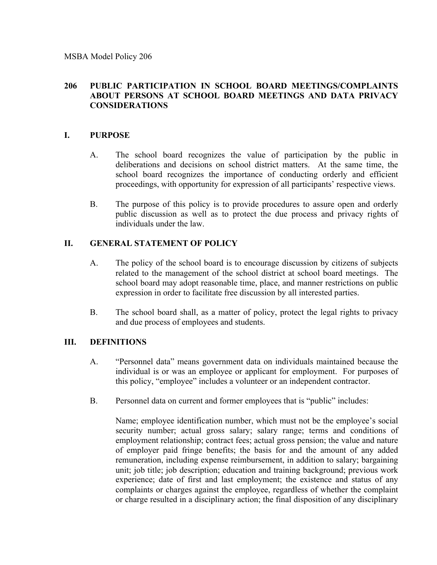MSBA Model Policy 206

#### **206 PUBLIC PARTICIPATION IN SCHOOL BOARD MEETINGS/COMPLAINTS ABOUT PERSONS AT SCHOOL BOARD MEETINGS AND DATA PRIVACY CONSIDERATIONS**

#### **I. PURPOSE**

- A. The school board recognizes the value of participation by the public in deliberations and decisions on school district matters. At the same time, the school board recognizes the importance of conducting orderly and efficient proceedings, with opportunity for expression of all participants' respective views.
- B. The purpose of this policy is to provide procedures to assure open and orderly public discussion as well as to protect the due process and privacy rights of individuals under the law.

### **II. GENERAL STATEMENT OF POLICY**

- A. The policy of the school board is to encourage discussion by citizens of subjects related to the management of the school district at school board meetings. The school board may adopt reasonable time, place, and manner restrictions on public expression in order to facilitate free discussion by all interested parties.
- B. The school board shall, as a matter of policy, protect the legal rights to privacy and due process of employees and students.

### **III. DEFINITIONS**

- A. "Personnel data" means government data on individuals maintained because the individual is or was an employee or applicant for employment. For purposes of this policy, "employee" includes a volunteer or an independent contractor.
- B. Personnel data on current and former employees that is "public" includes:

Name; employee identification number, which must not be the employee's social security number; actual gross salary; salary range; terms and conditions of employment relationship; contract fees; actual gross pension; the value and nature of employer paid fringe benefits; the basis for and the amount of any added remuneration, including expense reimbursement, in addition to salary; bargaining unit; job title; job description; education and training background; previous work experience; date of first and last employment; the existence and status of any complaints or charges against the employee, regardless of whether the complaint or charge resulted in a disciplinary action; the final disposition of any disciplinary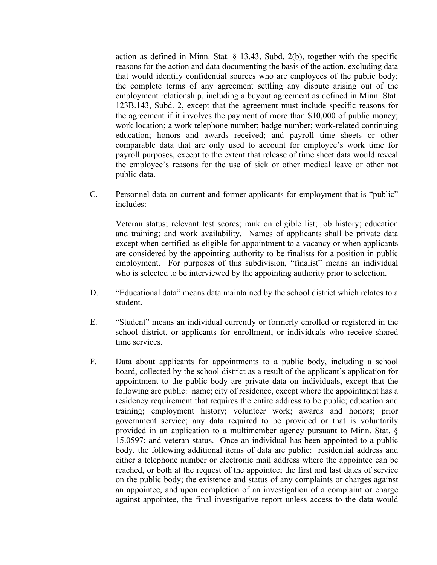action as defined in Minn. Stat. § 13.43, Subd. 2(b), together with the specific reasons for the action and data documenting the basis of the action, excluding data that would identify confidential sources who are employees of the public body; the complete terms of any agreement settling any dispute arising out of the employment relationship, including a buyout agreement as defined in Minn. Stat. 123B.143, Subd. 2, except that the agreement must include specific reasons for the agreement if it involves the payment of more than \$10,000 of public money; work location; a work telephone number; badge number; work-related continuing education; honors and awards received; and payroll time sheets or other comparable data that are only used to account for employee's work time for payroll purposes, except to the extent that release of time sheet data would reveal the employee's reasons for the use of sick or other medical leave or other not public data.

C. Personnel data on current and former applicants for employment that is "public" includes:

Veteran status; relevant test scores; rank on eligible list; job history; education and training; and work availability. Names of applicants shall be private data except when certified as eligible for appointment to a vacancy or when applicants are considered by the appointing authority to be finalists for a position in public employment. For purposes of this subdivision, "finalist" means an individual who is selected to be interviewed by the appointing authority prior to selection.

- D. "Educational data" means data maintained by the school district which relates to a student.
- E. "Student" means an individual currently or formerly enrolled or registered in the school district, or applicants for enrollment, or individuals who receive shared time services.
- F. Data about applicants for appointments to a public body, including a school board, collected by the school district as a result of the applicant's application for appointment to the public body are private data on individuals, except that the following are public: name; city of residence, except where the appointment has a residency requirement that requires the entire address to be public; education and training; employment history; volunteer work; awards and honors; prior government service; any data required to be provided or that is voluntarily provided in an application to a multimember agency pursuant to Minn. Stat. § 15.0597; and veteran status. Once an individual has been appointed to a public body, the following additional items of data are public: residential address and either a telephone number or electronic mail address where the appointee can be reached, or both at the request of the appointee; the first and last dates of service on the public body; the existence and status of any complaints or charges against an appointee, and upon completion of an investigation of a complaint or charge against appointee, the final investigative report unless access to the data would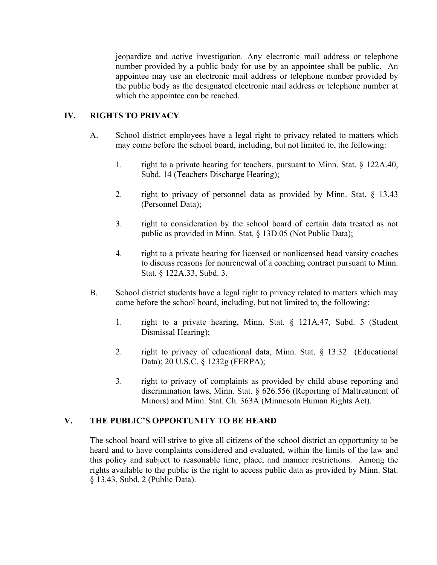jeopardize and active investigation. Any electronic mail address or telephone number provided by a public body for use by an appointee shall be public. An appointee may use an electronic mail address or telephone number provided by the public body as the designated electronic mail address or telephone number at which the appointee can be reached.

# **IV. RIGHTS TO PRIVACY**

- A. School district employees have a legal right to privacy related to matters which may come before the school board, including, but not limited to, the following:
	- 1. right to a private hearing for teachers, pursuant to Minn. Stat. § 122A.40, Subd. 14 (Teachers Discharge Hearing);
	- 2. right to privacy of personnel data as provided by Minn. Stat. § 13.43 (Personnel Data);
	- 3. right to consideration by the school board of certain data treated as not public as provided in Minn. Stat. § 13D.05 (Not Public Data);
	- 4. right to a private hearing for licensed or nonlicensed head varsity coaches to discuss reasons for nonrenewal of a coaching contract pursuant to Minn. Stat. § 122A.33, Subd. 3.
- B. School district students have a legal right to privacy related to matters which may come before the school board, including, but not limited to, the following:
	- 1. right to a private hearing, Minn. Stat. § 121A.47, Subd. 5 (Student Dismissal Hearing);
	- 2. right to privacy of educational data, Minn. Stat. § 13.32 (Educational Data); 20 U.S.C. § 1232g (FERPA);
	- 3. right to privacy of complaints as provided by child abuse reporting and discrimination laws, Minn. Stat. § 626.556 (Reporting of Maltreatment of Minors) and Minn. Stat. Ch. 363A (Minnesota Human Rights Act).

### **V. THE PUBLIC'S OPPORTUNITY TO BE HEARD**

The school board will strive to give all citizens of the school district an opportunity to be heard and to have complaints considered and evaluated, within the limits of the law and this policy and subject to reasonable time, place, and manner restrictions. Among the rights available to the public is the right to access public data as provided by Minn. Stat. § 13.43, Subd. 2 (Public Data).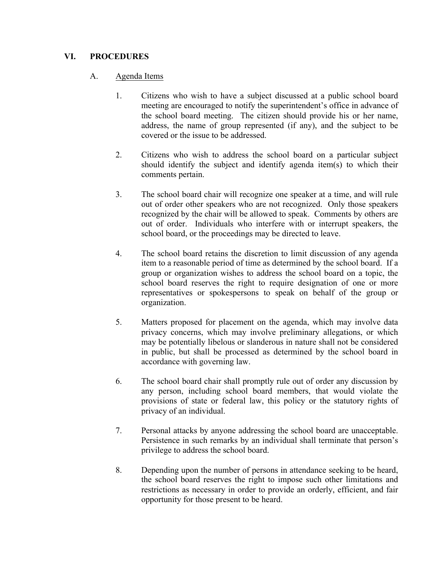# **VI. PROCEDURES**

## A. Agenda Items

- 1. Citizens who wish to have a subject discussed at a public school board meeting are encouraged to notify the superintendent's office in advance of the school board meeting. The citizen should provide his or her name, address, the name of group represented (if any), and the subject to be covered or the issue to be addressed.
- 2. Citizens who wish to address the school board on a particular subject should identify the subject and identify agenda item(s) to which their comments pertain.
- 3. The school board chair will recognize one speaker at a time, and will rule out of order other speakers who are not recognized. Only those speakers recognized by the chair will be allowed to speak. Comments by others are out of order. Individuals who interfere with or interrupt speakers, the school board, or the proceedings may be directed to leave.
- 4. The school board retains the discretion to limit discussion of any agenda item to a reasonable period of time as determined by the school board. If a group or organization wishes to address the school board on a topic, the school board reserves the right to require designation of one or more representatives or spokespersons to speak on behalf of the group or organization.
- 5. Matters proposed for placement on the agenda, which may involve data privacy concerns, which may involve preliminary allegations, or which may be potentially libelous or slanderous in nature shall not be considered in public, but shall be processed as determined by the school board in accordance with governing law.
- 6. The school board chair shall promptly rule out of order any discussion by any person, including school board members, that would violate the provisions of state or federal law, this policy or the statutory rights of privacy of an individual.
- 7. Personal attacks by anyone addressing the school board are unacceptable. Persistence in such remarks by an individual shall terminate that person's privilege to address the school board.
- 8. Depending upon the number of persons in attendance seeking to be heard, the school board reserves the right to impose such other limitations and restrictions as necessary in order to provide an orderly, efficient, and fair opportunity for those present to be heard.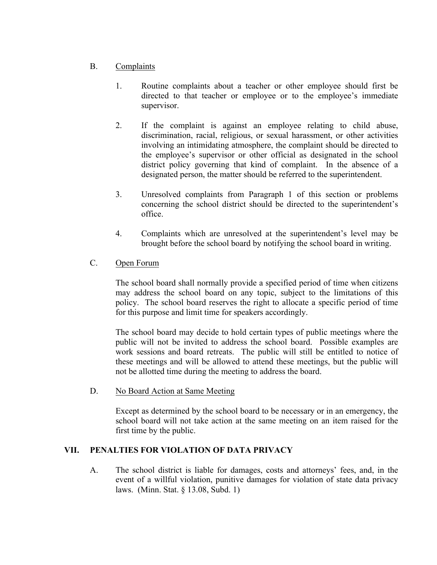## B. Complaints

- 1. Routine complaints about a teacher or other employee should first be directed to that teacher or employee or to the employee's immediate supervisor.
- 2. If the complaint is against an employee relating to child abuse, discrimination, racial, religious, or sexual harassment, or other activities involving an intimidating atmosphere, the complaint should be directed to the employee's supervisor or other official as designated in the school district policy governing that kind of complaint. In the absence of a designated person, the matter should be referred to the superintendent.
- 3. Unresolved complaints from Paragraph 1 of this section or problems concerning the school district should be directed to the superintendent's office.
- 4. Complaints which are unresolved at the superintendent's level may be brought before the school board by notifying the school board in writing.
- C. Open Forum

The school board shall normally provide a specified period of time when citizens may address the school board on any topic, subject to the limitations of this policy. The school board reserves the right to allocate a specific period of time for this purpose and limit time for speakers accordingly.

The school board may decide to hold certain types of public meetings where the public will not be invited to address the school board. Possible examples are work sessions and board retreats. The public will still be entitled to notice of these meetings and will be allowed to attend these meetings, but the public will not be allotted time during the meeting to address the board.

D. No Board Action at Same Meeting

Except as determined by the school board to be necessary or in an emergency, the school board will not take action at the same meeting on an item raised for the first time by the public.

### **VII. PENALTIES FOR VIOLATION OF DATA PRIVACY**

A. The school district is liable for damages, costs and attorneys' fees, and, in the event of a willful violation, punitive damages for violation of state data privacy laws. (Minn. Stat. § 13.08, Subd. 1)